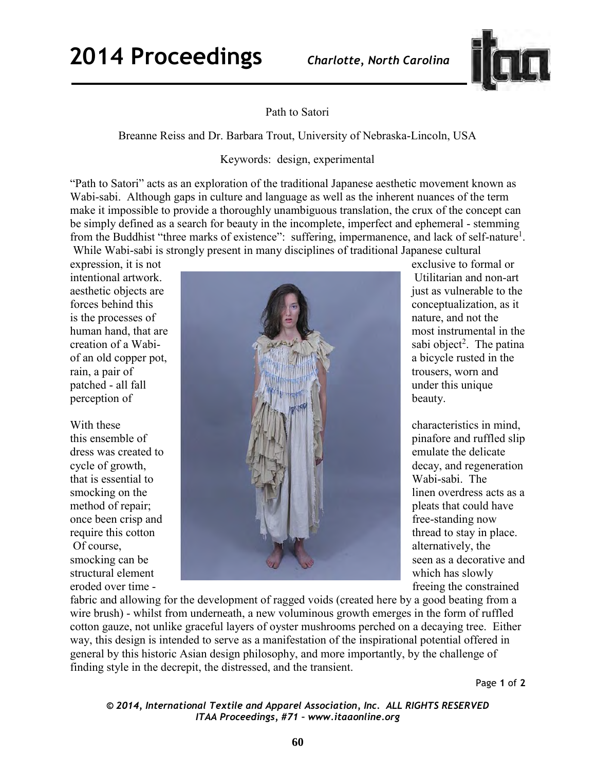

Path to Satori

Breanne Reiss and Dr. Barbara Trout, University of Nebraska-Lincoln, USA

Keywords: design, experimental

"Path to Satori" acts as an exploration of the traditional Japanese aesthetic movement known as Wabi-sabi. Although gaps in culture and language as well as the inherent nuances of the term make it impossible to provide a thoroughly unambiguous translation, the crux of the concept can be simply defined as a search for beauty in the incomplete, imperfect and ephemeral - stemming from the Buddhist "three marks of existence": suffering, impermanence, and lack of self-nature<sup>1</sup>. While Wabi-sabi is strongly present in many disciplines of traditional Japanese cultural

expression, it is not expression, it is not creation of a Wabi-

that is essential to



sabi object<sup>2</sup>. The patina

which has slowly

fabric and allowing for the development of ragged voids (created here by a good beating from a wire brush) - whilst from underneath, a new voluminous growth emerges in the form of ruffled cotton gauze, not unlike graceful layers of oyster mushrooms perched on a decaying tree. Either way, this design is intended to serve as a manifestation of the inspirational potential offered in general by this historic Asian design philosophy, and more importantly, by the challenge of finding style in the decrepit, the distressed, and the transient.

Page **1** of **2** 

*© 2014, International Textile and Apparel Association, Inc. ALL RIGHTS RESERVED ITAA Proceedings, #71 – www.itaaonline.org*